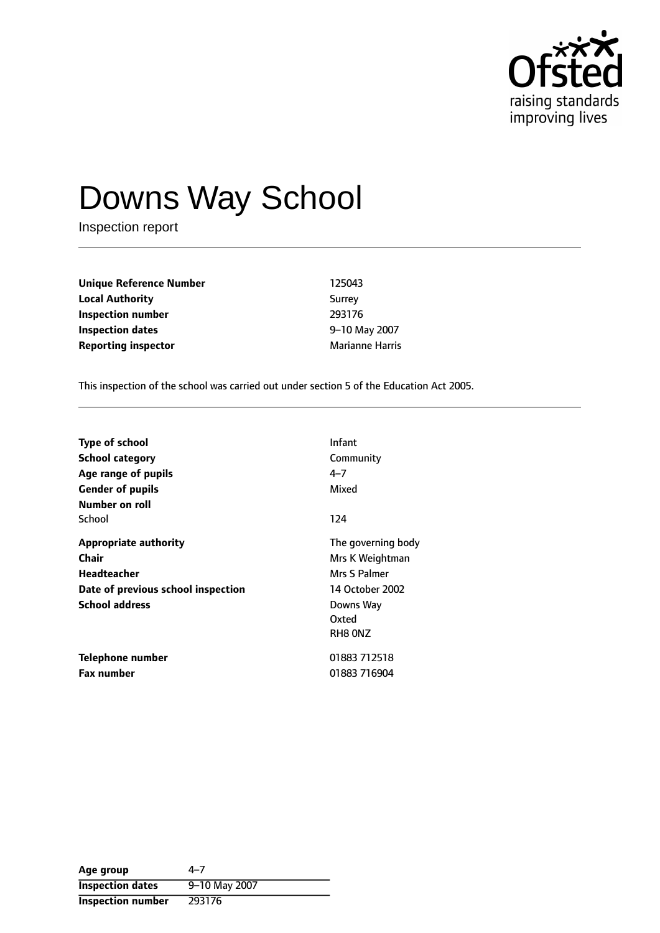

# Downs Way School

Inspection report

| 125043                 |
|------------------------|
| Surrey                 |
| 293176                 |
| 9-10 May 2007          |
| <b>Marianne Harris</b> |
|                        |

This inspection of the school was carried out under section 5 of the Education Act 2005.

| <b>Type of school</b><br><b>School category</b><br>Age range of pupils<br><b>Gender of pupils</b><br>Number on roll        | Infant<br>Community<br>$4 - 7$<br>Mixed                                                                   |
|----------------------------------------------------------------------------------------------------------------------------|-----------------------------------------------------------------------------------------------------------|
| School                                                                                                                     | 124                                                                                                       |
| <b>Appropriate authority</b><br>Chair<br><b>Headteacher</b><br>Date of previous school inspection<br><b>School address</b> | The governing body<br>Mrs K Weightman<br>Mrs S Palmer<br>14 October 2002<br>Downs Way<br>Oxted<br>RH8 ONZ |
| Telephone number<br><b>Fax number</b>                                                                                      | 01883 712518<br>01883 716904                                                                              |

| Age group                | 4–7           |
|--------------------------|---------------|
| <b>Inspection dates</b>  | 9-10 May 2007 |
| <b>Inspection number</b> | 293176        |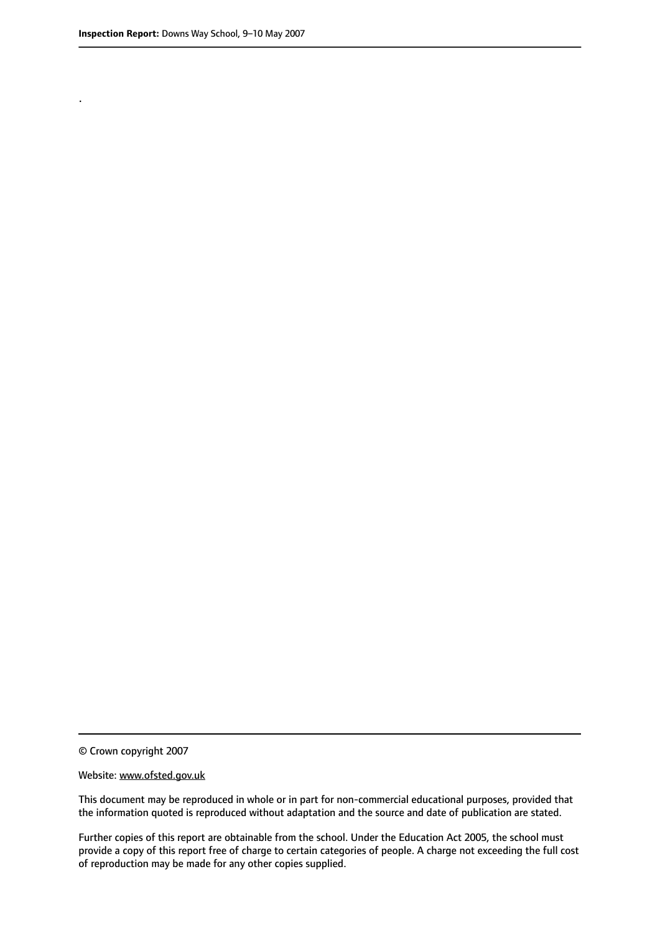.

© Crown copyright 2007

#### Website: www.ofsted.gov.uk

This document may be reproduced in whole or in part for non-commercial educational purposes, provided that the information quoted is reproduced without adaptation and the source and date of publication are stated.

Further copies of this report are obtainable from the school. Under the Education Act 2005, the school must provide a copy of this report free of charge to certain categories of people. A charge not exceeding the full cost of reproduction may be made for any other copies supplied.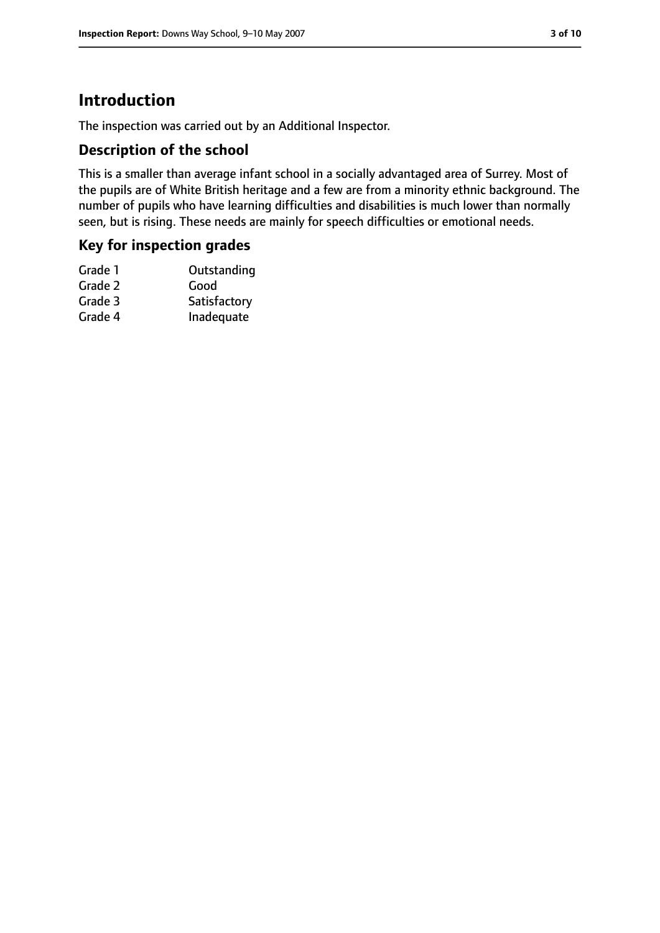# **Introduction**

The inspection was carried out by an Additional Inspector.

## **Description of the school**

This is a smaller than average infant school in a socially advantaged area of Surrey. Most of the pupils are of White British heritage and a few are from a minority ethnic background. The number of pupils who have learning difficulties and disabilities is much lower than normally seen, but is rising. These needs are mainly for speech difficulties or emotional needs.

#### **Key for inspection grades**

| Grade 1 | Outstanding  |
|---------|--------------|
| Grade 2 | Good         |
| Grade 3 | Satisfactory |
| Grade 4 | Inadequate   |
|         |              |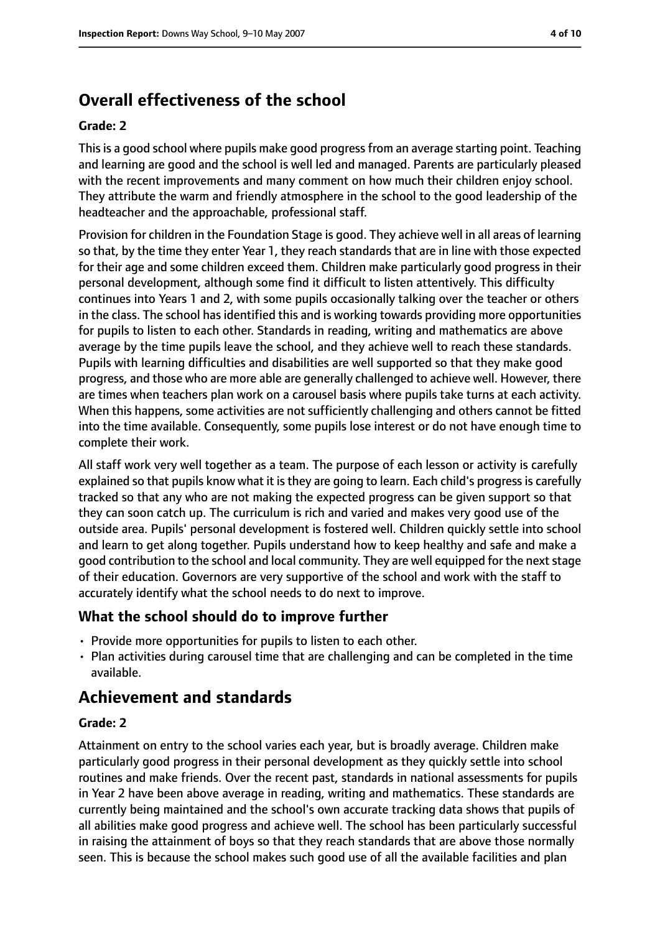# **Overall effectiveness of the school**

#### **Grade: 2**

This is a good school where pupils make good progress from an average starting point. Teaching and learning are good and the school is well led and managed. Parents are particularly pleased with the recent improvements and many comment on how much their children enjoy school. They attribute the warm and friendly atmosphere in the school to the good leadership of the headteacher and the approachable, professional staff.

Provision for children in the Foundation Stage is good. They achieve well in all areas of learning so that, by the time they enter Year 1, they reach standards that are in line with those expected for their age and some children exceed them. Children make particularly good progress in their personal development, although some find it difficult to listen attentively. This difficulty continues into Years 1 and 2, with some pupils occasionally talking over the teacher or others in the class. The school has identified this and is working towards providing more opportunities for pupils to listen to each other. Standards in reading, writing and mathematics are above average by the time pupils leave the school, and they achieve well to reach these standards. Pupils with learning difficulties and disabilities are well supported so that they make good progress, and those who are more able are generally challenged to achieve well. However, there are times when teachers plan work on a carousel basis where pupils take turns at each activity. When this happens, some activities are not sufficiently challenging and others cannot be fitted into the time available. Consequently, some pupils lose interest or do not have enough time to complete their work.

All staff work very well together as a team. The purpose of each lesson or activity is carefully explained so that pupils know what it is they are going to learn. Each child's progress is carefully tracked so that any who are not making the expected progress can be given support so that they can soon catch up. The curriculum is rich and varied and makes very good use of the outside area. Pupils' personal development is fostered well. Children quickly settle into school and learn to get along together. Pupils understand how to keep healthy and safe and make a good contribution to the school and local community. They are well equipped for the next stage of their education. Governors are very supportive of the school and work with the staff to accurately identify what the school needs to do next to improve.

#### **What the school should do to improve further**

- Provide more opportunities for pupils to listen to each other.
- Plan activities during carousel time that are challenging and can be completed in the time available.

## **Achievement and standards**

#### **Grade: 2**

Attainment on entry to the school varies each year, but is broadly average. Children make particularly good progress in their personal development as they quickly settle into school routines and make friends. Over the recent past, standards in national assessments for pupils in Year 2 have been above average in reading, writing and mathematics. These standards are currently being maintained and the school's own accurate tracking data shows that pupils of all abilities make good progress and achieve well. The school has been particularly successful in raising the attainment of boys so that they reach standards that are above those normally seen. This is because the school makes such good use of all the available facilities and plan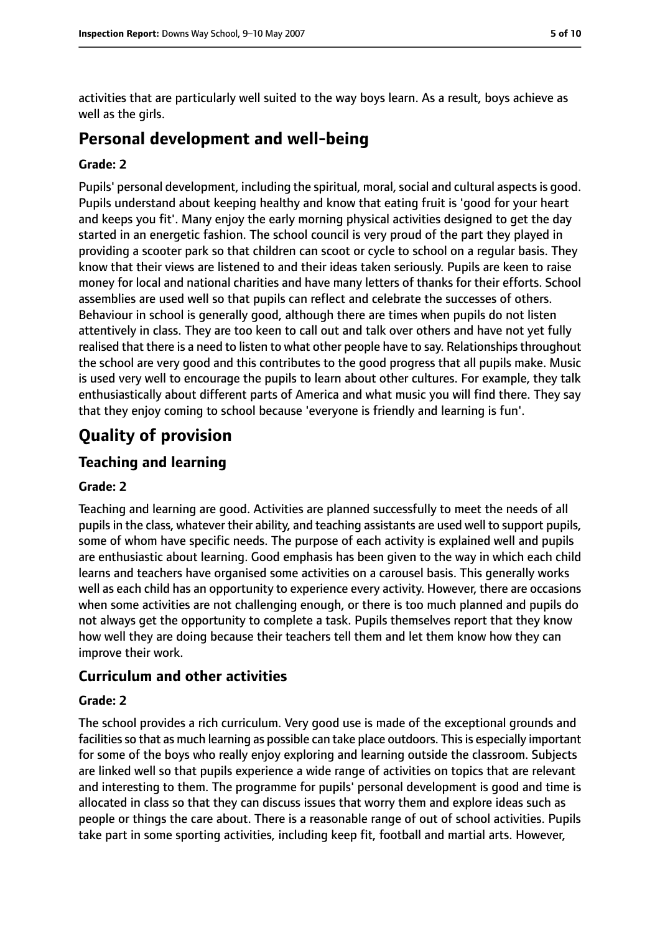activities that are particularly well suited to the way boys learn. As a result, boys achieve as well as the girls.

## **Personal development and well-being**

#### **Grade: 2**

Pupils' personal development, including the spiritual, moral, social and cultural aspects is good. Pupils understand about keeping healthy and know that eating fruit is 'good for your heart and keeps you fit'. Many enjoy the early morning physical activities designed to get the day started in an energetic fashion. The school council is very proud of the part they played in providing a scooter park so that children can scoot or cycle to school on a regular basis. They know that their views are listened to and their ideas taken seriously. Pupils are keen to raise money for local and national charities and have many letters of thanks for their efforts. School assemblies are used well so that pupils can reflect and celebrate the successes of others. Behaviour in school is generally good, although there are times when pupils do not listen attentively in class. They are too keen to call out and talk over others and have not yet fully realised that there is a need to listen to what other people have to say. Relationships throughout the school are very good and this contributes to the good progress that all pupils make. Music is used very well to encourage the pupils to learn about other cultures. For example, they talk enthusiastically about different parts of America and what music you will find there. They say that they enjoy coming to school because 'everyone is friendly and learning is fun'.

## **Quality of provision**

## **Teaching and learning**

#### **Grade: 2**

Teaching and learning are good. Activities are planned successfully to meet the needs of all pupilsin the class, whatever their ability, and teaching assistants are used well to support pupils, some of whom have specific needs. The purpose of each activity is explained well and pupils are enthusiastic about learning. Good emphasis has been given to the way in which each child learns and teachers have organised some activities on a carousel basis. This generally works well as each child has an opportunity to experience every activity. However, there are occasions when some activities are not challenging enough, or there is too much planned and pupils do not always get the opportunity to complete a task. Pupils themselves report that they know how well they are doing because their teachers tell them and let them know how they can improve their work.

#### **Curriculum and other activities**

#### **Grade: 2**

The school provides a rich curriculum. Very good use is made of the exceptional grounds and facilities so that as much learning as possible can take place outdoors. This is especially important for some of the boys who really enjoy exploring and learning outside the classroom. Subjects are linked well so that pupils experience a wide range of activities on topics that are relevant and interesting to them. The programme for pupils' personal development is good and time is allocated in class so that they can discuss issues that worry them and explore ideas such as people or things the care about. There is a reasonable range of out of school activities. Pupils take part in some sporting activities, including keep fit, football and martial arts. However,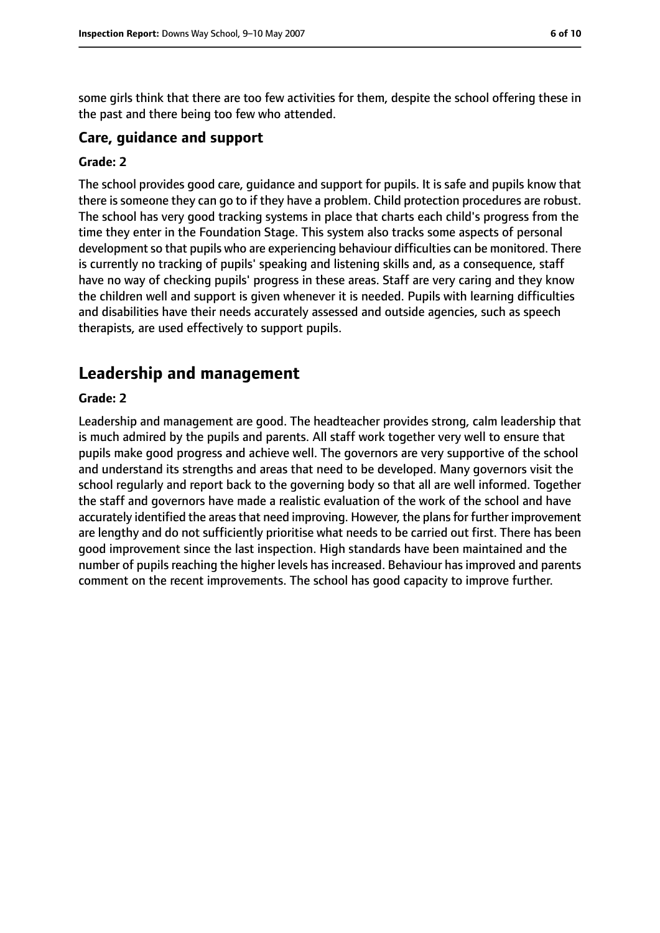some girls think that there are too few activities for them, despite the school offering these in the past and there being too few who attended.

#### **Care, guidance and support**

#### **Grade: 2**

The school provides good care, guidance and support for pupils. It is safe and pupils know that there is someone they can go to if they have a problem. Child protection procedures are robust. The school has very good tracking systems in place that charts each child's progress from the time they enter in the Foundation Stage. This system also tracks some aspects of personal development so that pupils who are experiencing behaviour difficulties can be monitored. There is currently no tracking of pupils' speaking and listening skills and, as a consequence, staff have no way of checking pupils' progress in these areas. Staff are very caring and they know the children well and support is given whenever it is needed. Pupils with learning difficulties and disabilities have their needs accurately assessed and outside agencies, such as speech therapists, are used effectively to support pupils.

## **Leadership and management**

#### **Grade: 2**

Leadership and management are good. The headteacher provides strong, calm leadership that is much admired by the pupils and parents. All staff work together very well to ensure that pupils make good progress and achieve well. The governors are very supportive of the school and understand its strengths and areas that need to be developed. Many governors visit the school regularly and report back to the governing body so that all are well informed. Together the staff and governors have made a realistic evaluation of the work of the school and have accurately identified the areas that need improving. However, the plans for further improvement are lengthy and do not sufficiently prioritise what needs to be carried out first. There has been good improvement since the last inspection. High standards have been maintained and the number of pupils reaching the higher levels has increased. Behaviour has improved and parents comment on the recent improvements. The school has good capacity to improve further.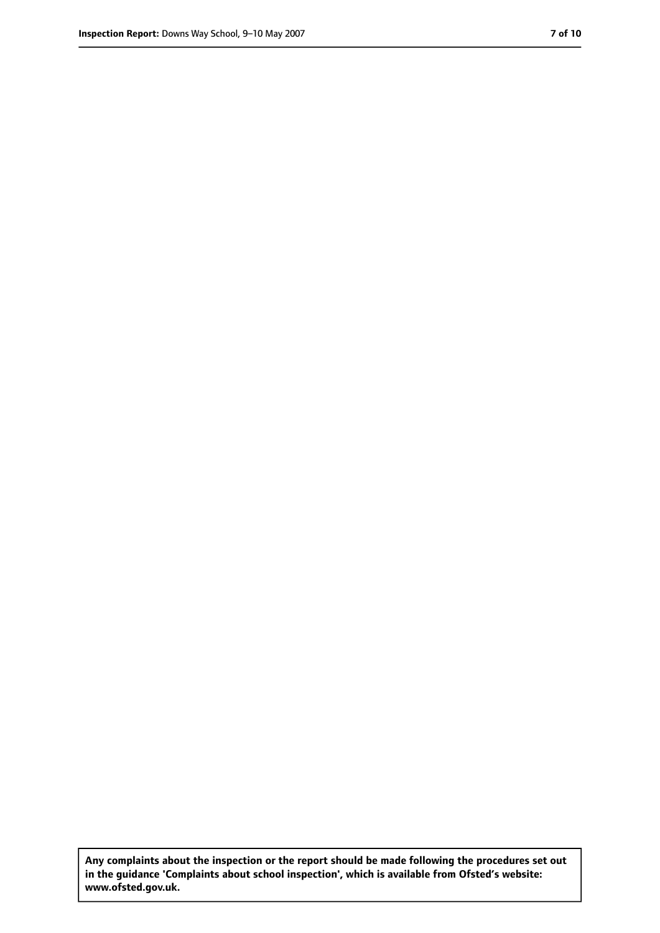**Any complaints about the inspection or the report should be made following the procedures set out in the guidance 'Complaints about school inspection', which is available from Ofsted's website: www.ofsted.gov.uk.**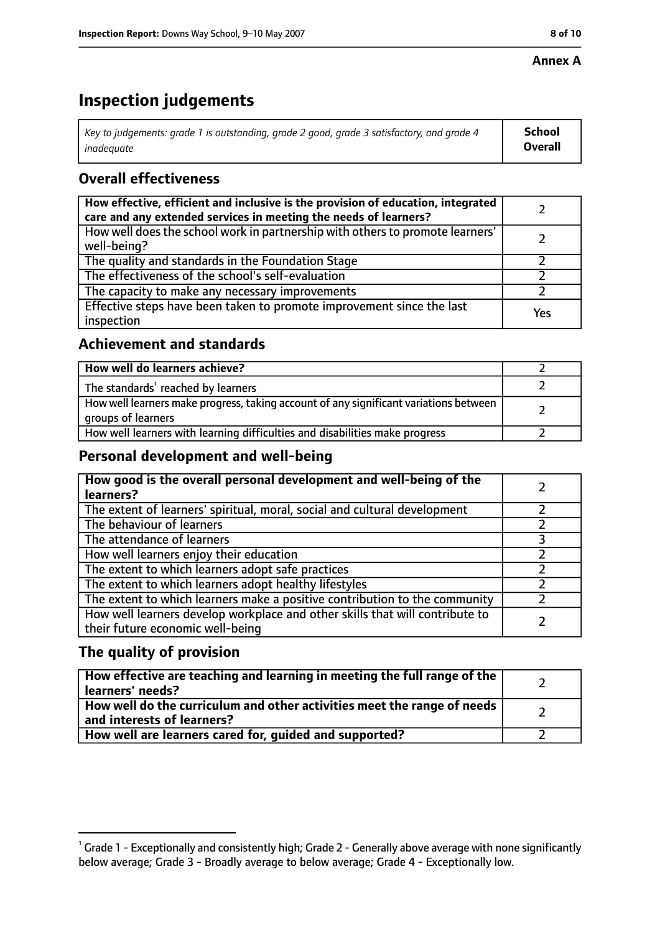#### **Annex A**

# **Inspection judgements**

| Key to judgements: grade 1 is outstanding, grade 2 good, grade 3 satisfactory, and grade 4 $\,$ | <b>School</b>  |
|-------------------------------------------------------------------------------------------------|----------------|
| inadequate                                                                                      | <b>Overall</b> |

## **Overall effectiveness**

| How effective, efficient and inclusive is the provision of education, integrated<br>care and any extended services in meeting the needs of learners? |     |
|------------------------------------------------------------------------------------------------------------------------------------------------------|-----|
| How well does the school work in partnership with others to promote learners'<br>well-being?                                                         |     |
| The quality and standards in the Foundation Stage                                                                                                    |     |
| The effectiveness of the school's self-evaluation                                                                                                    |     |
| The capacity to make any necessary improvements                                                                                                      |     |
| Effective steps have been taken to promote improvement since the last<br>inspection                                                                  | Yes |

## **Achievement and standards**

| How well do learners achieve?                                                                               |  |
|-------------------------------------------------------------------------------------------------------------|--|
| The standards <sup>1</sup> reached by learners                                                              |  |
| How well learners make progress, taking account of any significant variations between<br>groups of learners |  |
| How well learners with learning difficulties and disabilities make progress                                 |  |

## **Personal development and well-being**

| How good is the overall personal development and well-being of the<br>learners?                                  |  |
|------------------------------------------------------------------------------------------------------------------|--|
| The extent of learners' spiritual, moral, social and cultural development                                        |  |
| The behaviour of learners                                                                                        |  |
| The attendance of learners                                                                                       |  |
| How well learners enjoy their education                                                                          |  |
| The extent to which learners adopt safe practices                                                                |  |
| The extent to which learners adopt healthy lifestyles                                                            |  |
| The extent to which learners make a positive contribution to the community                                       |  |
| How well learners develop workplace and other skills that will contribute to<br>their future economic well-being |  |

## **The quality of provision**

| How effective are teaching and learning in meeting the full range of the<br>learners' needs?          |  |
|-------------------------------------------------------------------------------------------------------|--|
| How well do the curriculum and other activities meet the range of needs<br>and interests of learners? |  |
| How well are learners cared for, quided and supported?                                                |  |

 $^1$  Grade 1 - Exceptionally and consistently high; Grade 2 - Generally above average with none significantly below average; Grade 3 - Broadly average to below average; Grade 4 - Exceptionally low.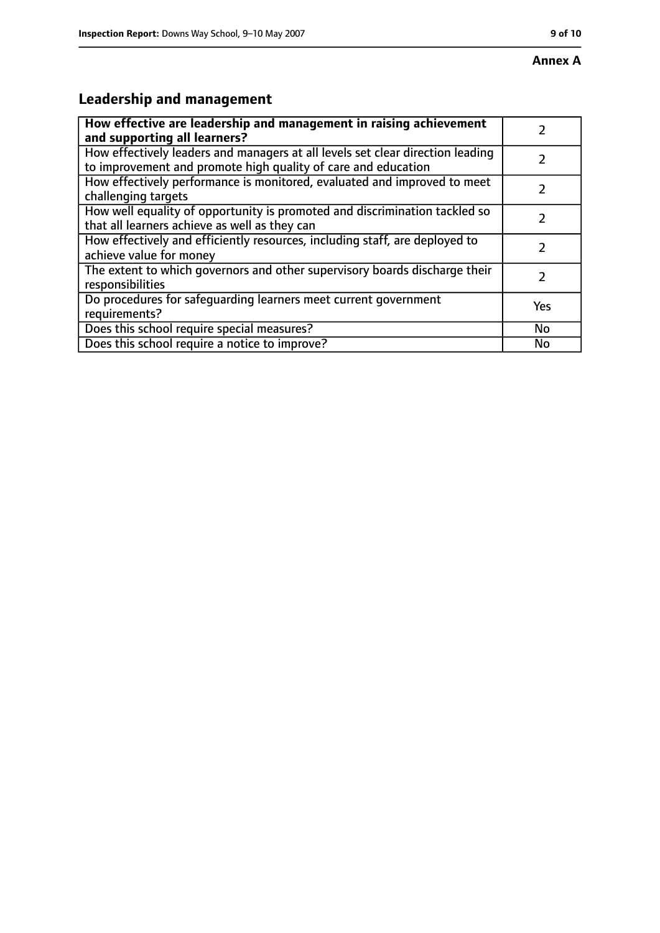# **Leadership and management**

| How effective are leadership and management in raising achievement<br>and supporting all learners?                                              |            |
|-------------------------------------------------------------------------------------------------------------------------------------------------|------------|
| How effectively leaders and managers at all levels set clear direction leading<br>to improvement and promote high quality of care and education |            |
| How effectively performance is monitored, evaluated and improved to meet<br>challenging targets                                                 |            |
| How well equality of opportunity is promoted and discrimination tackled so<br>that all learners achieve as well as they can                     |            |
| How effectively and efficiently resources, including staff, are deployed to<br>achieve value for money                                          | フ          |
| The extent to which governors and other supervisory boards discharge their<br>responsibilities                                                  |            |
| Do procedures for safequarding learners meet current government<br>requirements?                                                                | <b>Yes</b> |
| Does this school require special measures?                                                                                                      | No         |
| Does this school require a notice to improve?                                                                                                   | No         |